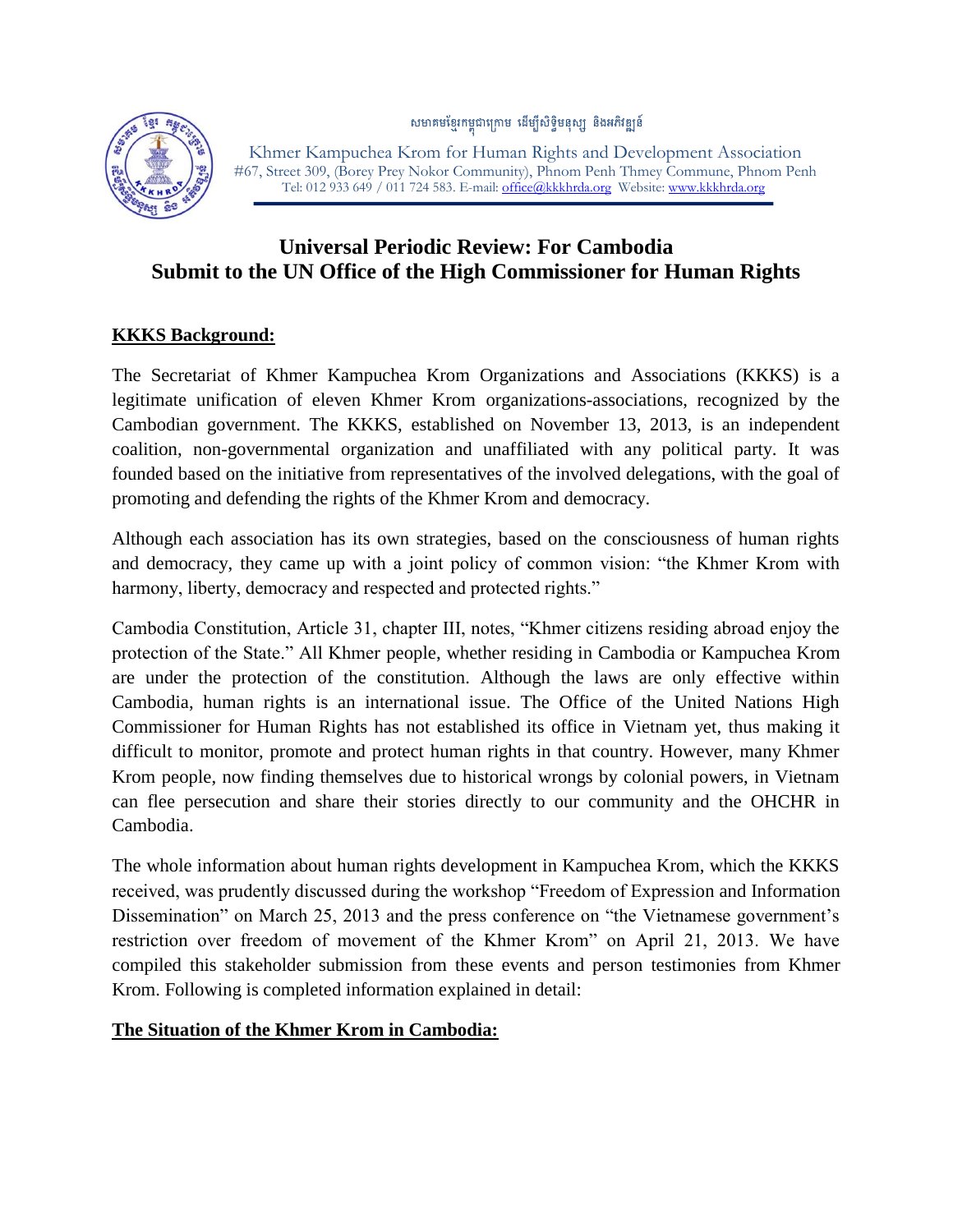សមាគមខ្មែរកម្ពុជាក្រោម ដើម្បីសិទ្ធិមនុស្ស និងអភិវឌ្ឍន៍



 Khmer Kampuchea Krom for Human Rights and Development Association #67, Street 309, (Borey Prey Nokor Community), Phnom Penh Thmey Commune, Phnom Penh Tel: 012 933 649 / 011 724 583. E-mail[: office@kkkhrda.org](mailto:office@kkkhrda.org) Website[: www.kkkhrda.org](http://www.kkkhrda.org/)

# **Universal Periodic Review: For Cambodia Submit to the UN Office of the High Commissioner for Human Rights**

### **KKKS Background:**

The Secretariat of Khmer Kampuchea Krom Organizations and Associations (KKKS) is a legitimate unification of eleven Khmer Krom organizations-associations, recognized by the Cambodian government. The KKKS, established on November 13, 2013, is an independent coalition, non-governmental organization and unaffiliated with any political party. It was founded based on the initiative from representatives of the involved delegations, with the goal of promoting and defending the rights of the Khmer Krom and democracy.

Although each association has its own strategies, based on the consciousness of human rights and democracy, they came up with a joint policy of common vision: "the Khmer Krom with harmony, liberty, democracy and respected and protected rights."

Cambodia Constitution, Article 31, chapter III, notes, "Khmer citizens residing abroad enjoy the protection of the State." All Khmer people, whether residing in Cambodia or Kampuchea Krom are under the protection of the constitution. Although the laws are only effective within Cambodia, human rights is an international issue. The Office of the United Nations High Commissioner for Human Rights has not established its office in Vietnam yet, thus making it difficult to monitor, promote and protect human rights in that country. However, many Khmer Krom people, now finding themselves due to historical wrongs by colonial powers, in Vietnam can flee persecution and share their stories directly to our community and the OHCHR in Cambodia.

The whole information about human rights development in Kampuchea Krom, which the KKKS received, was prudently discussed during the workshop "Freedom of Expression and Information Dissemination" on March 25, 2013 and the press conference on "the Vietnamese government's restriction over freedom of movement of the Khmer Krom" on April 21, 2013. We have compiled this stakeholder submission from these events and person testimonies from Khmer Krom. Following is completed information explained in detail:

### **The Situation of the Khmer Krom in Cambodia:**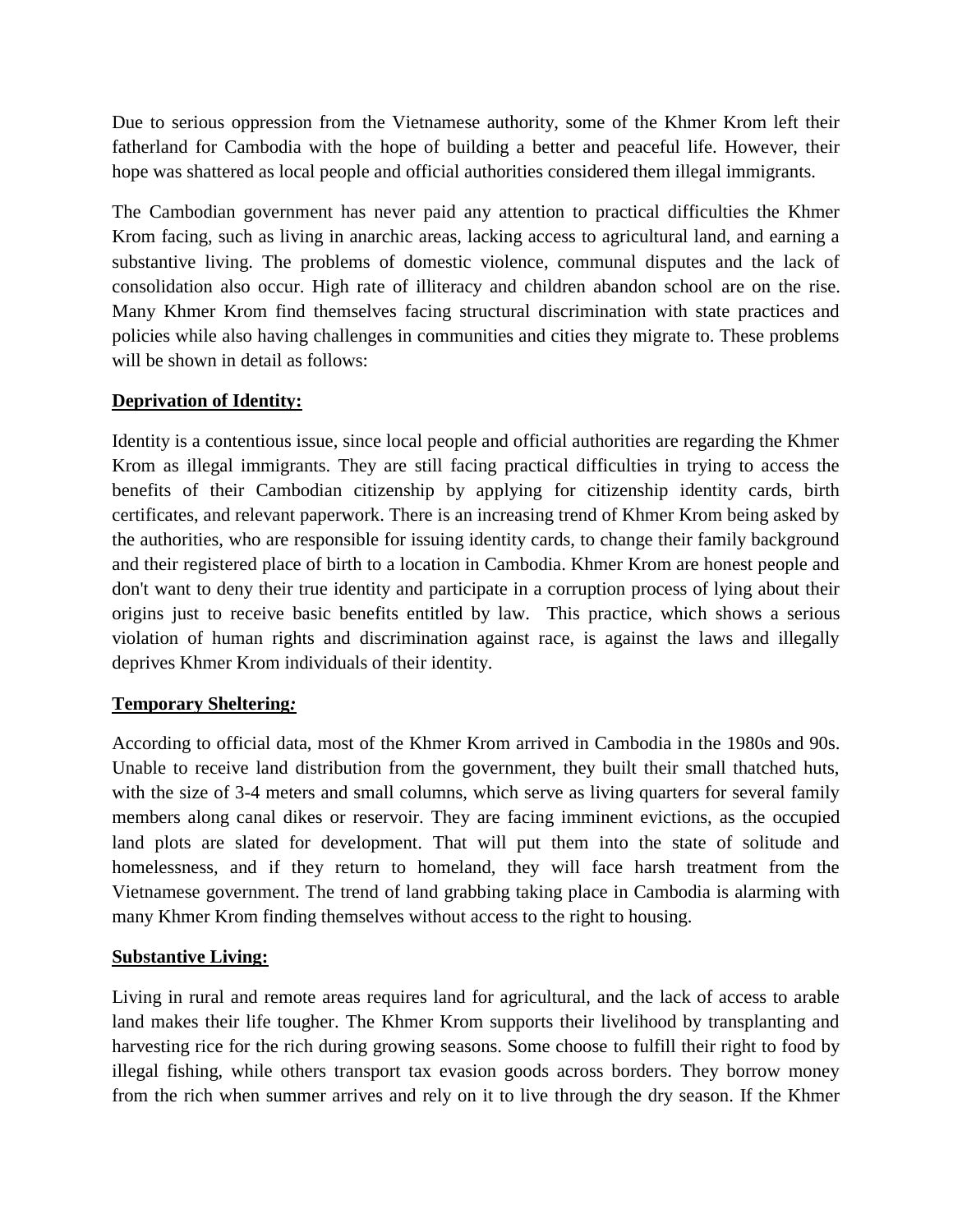Due to serious oppression from the Vietnamese authority, some of the Khmer Krom left their fatherland for Cambodia with the hope of building a better and peaceful life. However, their hope was shattered as local people and official authorities considered them illegal immigrants.

The Cambodian government has never paid any attention to practical difficulties the Khmer Krom facing, such as living in anarchic areas, lacking access to agricultural land, and earning a substantive living. The problems of domestic violence, communal disputes and the lack of consolidation also occur. High rate of illiteracy and children abandon school are on the rise. Many Khmer Krom find themselves facing structural discrimination with state practices and policies while also having challenges in communities and cities they migrate to. These problems will be shown in detail as follows:

### **Deprivation of Identity:**

Identity is a contentious issue, since local people and official authorities are regarding the Khmer Krom as illegal immigrants. They are still facing practical difficulties in trying to access the benefits of their Cambodian citizenship by applying for citizenship identity cards, birth certificates, and relevant paperwork. There is an increasing trend of Khmer Krom being asked by the authorities, who are responsible for issuing identity cards, to change their family background and their registered place of birth to a location in Cambodia. Khmer Krom are honest people and don't want to deny their true identity and participate in a corruption process of lying about their origins just to receive basic benefits entitled by law. This practice, which shows a serious violation of human rights and discrimination against race, is against the laws and illegally deprives Khmer Krom individuals of their identity.

### **Temporary Sheltering***:*

According to official data, most of the Khmer Krom arrived in Cambodia in the 1980s and 90s. Unable to receive land distribution from the government, they built their small thatched huts, with the size of 3-4 meters and small columns, which serve as living quarters for several family members along canal dikes or reservoir. They are facing imminent evictions, as the occupied land plots are slated for development. That will put them into the state of solitude and homelessness, and if they return to homeland, they will face harsh treatment from the Vietnamese government. The trend of land grabbing taking place in Cambodia is alarming with many Khmer Krom finding themselves without access to the right to housing.

### **Substantive Living:**

Living in rural and remote areas requires land for agricultural, and the lack of access to arable land makes their life tougher. The Khmer Krom supports their livelihood by transplanting and harvesting rice for the rich during growing seasons. Some choose to fulfill their right to food by illegal fishing, while others transport tax evasion goods across borders. They borrow money from the rich when summer arrives and rely on it to live through the dry season. If the Khmer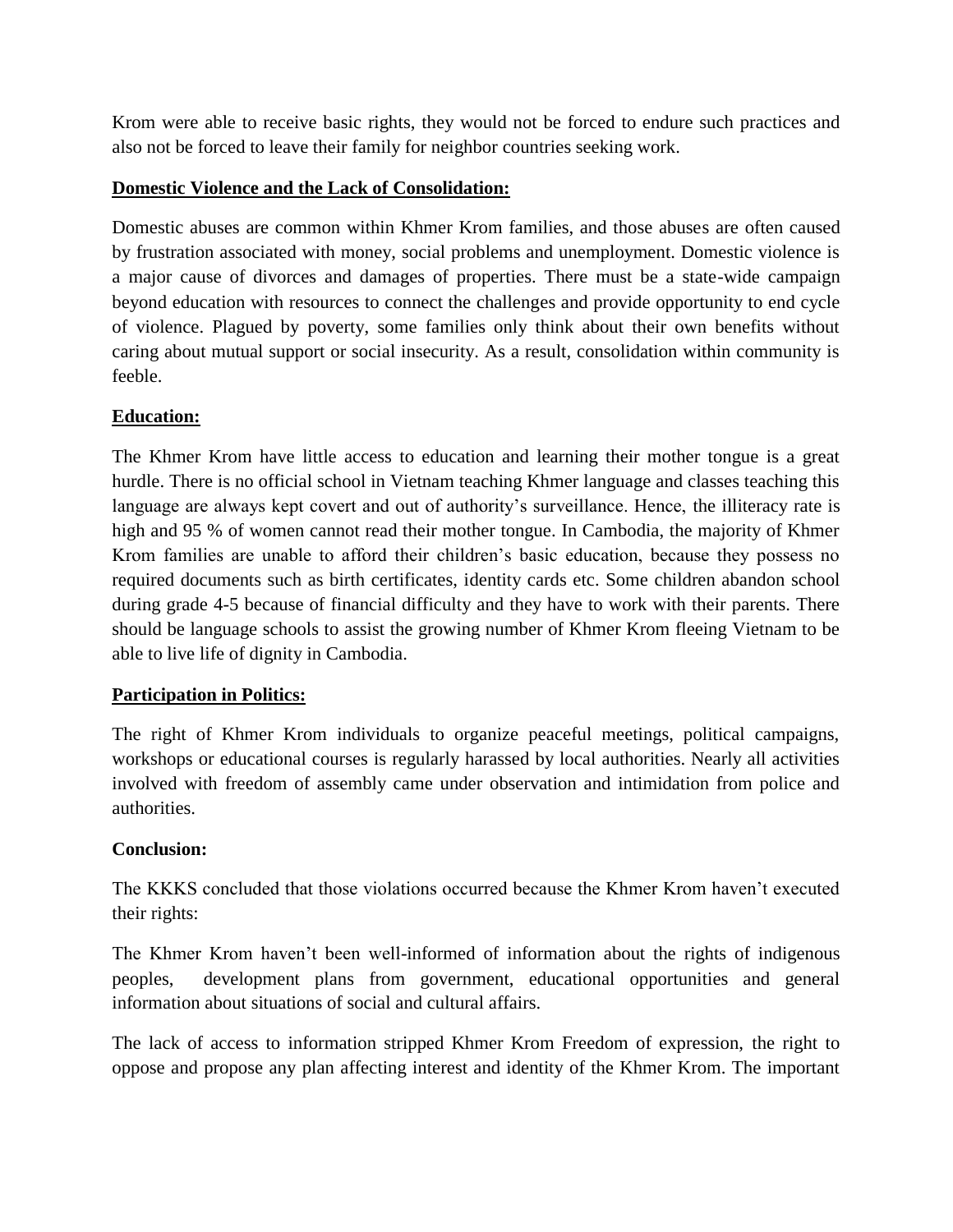Krom were able to receive basic rights, they would not be forced to endure such practices and also not be forced to leave their family for neighbor countries seeking work.

# **Domestic Violence and the Lack of Consolidation:**

Domestic abuses are common within Khmer Krom families, and those abuses are often caused by frustration associated with money, social problems and unemployment. Domestic violence is a major cause of divorces and damages of properties. There must be a state-wide campaign beyond education with resources to connect the challenges and provide opportunity to end cycle of violence. Plagued by poverty, some families only think about their own benefits without caring about mutual support or social insecurity. As a result, consolidation within community is feeble.

# **Education:**

The Khmer Krom have little access to education and learning their mother tongue is a great hurdle. There is no official school in Vietnam teaching Khmer language and classes teaching this language are always kept covert and out of authority's surveillance. Hence, the illiteracy rate is high and 95 % of women cannot read their mother tongue. In Cambodia, the majority of Khmer Krom families are unable to afford their children's basic education, because they possess no required documents such as birth certificates, identity cards etc. Some children abandon school during grade 4-5 because of financial difficulty and they have to work with their parents. There should be language schools to assist the growing number of Khmer Krom fleeing Vietnam to be able to live life of dignity in Cambodia.

# **Participation in Politics:**

The right of Khmer Krom individuals to organize peaceful meetings, political campaigns, workshops or educational courses is regularly harassed by local authorities. Nearly all activities involved with freedom of assembly came under observation and intimidation from police and authorities.

# **Conclusion:**

The KKKS concluded that those violations occurred because the Khmer Krom haven't executed their rights:

The Khmer Krom haven't been well-informed of information about the rights of indigenous peoples, development plans from government, educational opportunities and general information about situations of social and cultural affairs.

The lack of access to information stripped Khmer Krom Freedom of expression, the right to oppose and propose any plan affecting interest and identity of the Khmer Krom. The important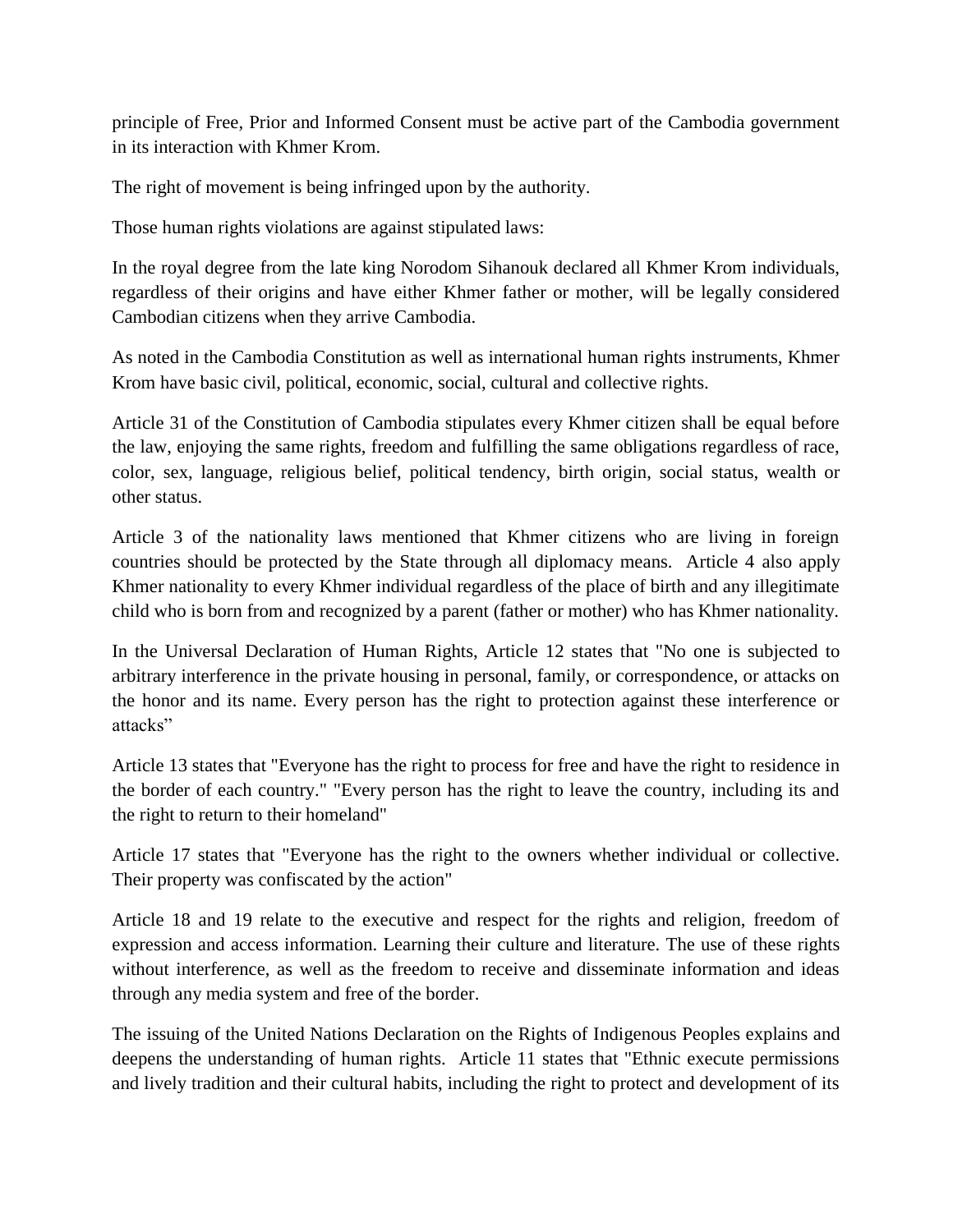principle of Free, Prior and Informed Consent must be active part of the Cambodia government in its interaction with Khmer Krom.

The right of movement is being infringed upon by the authority.

Those human rights violations are against stipulated laws:

In the royal degree from the late king Norodom Sihanouk declared all Khmer Krom individuals, regardless of their origins and have either Khmer father or mother, will be legally considered Cambodian citizens when they arrive Cambodia.

As noted in the Cambodia Constitution as well as international human rights instruments, Khmer Krom have basic civil, political, economic, social, cultural and collective rights.

Article 31 of the Constitution of Cambodia stipulates every Khmer citizen shall be equal before the law, enjoying the same rights, freedom and fulfilling the same obligations regardless of race, color, sex, language, religious belief, political tendency, birth origin, social status, wealth or other status.

Article 3 of the nationality laws mentioned that Khmer citizens who are living in foreign countries should be protected by the State through all diplomacy means. Article 4 also apply Khmer nationality to every Khmer individual regardless of the place of birth and any illegitimate child who is born from and recognized by a parent (father or mother) who has Khmer nationality.

In the Universal Declaration of Human Rights, Article 12 states that "No one is subjected to arbitrary interference in the private housing in personal, family, or correspondence, or attacks on the honor and its name. Every person has the right to protection against these interference or attacks"

Article 13 states that "Everyone has the right to process for free and have the right to residence in the border of each country." "Every person has the right to leave the country, including its and the right to return to their homeland"

Article 17 states that "Everyone has the right to the owners whether individual or collective. Their property was confiscated by the action"

Article 18 and 19 relate to the executive and respect for the rights and religion, freedom of expression and access information. Learning their culture and literature. The use of these rights without interference, as well as the freedom to receive and disseminate information and ideas through any media system and free of the border.

The issuing of the United Nations Declaration on the Rights of Indigenous Peoples explains and deepens the understanding of human rights. Article 11 states that "Ethnic execute permissions and lively tradition and their cultural habits, including the right to protect and development of its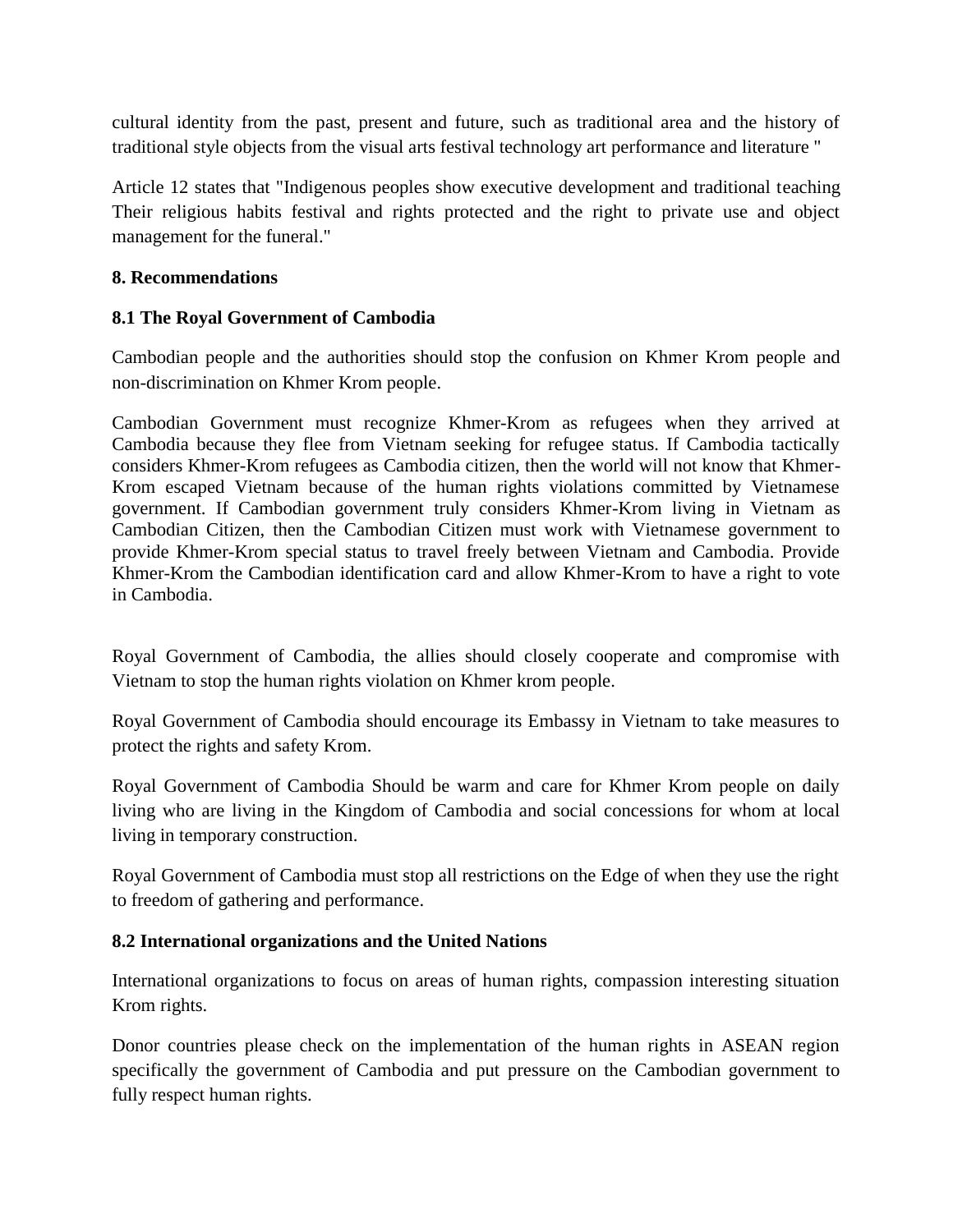cultural identity from the past, present and future, such as traditional area and the history of traditional style objects from the visual arts festival technology art performance and literature "

Article 12 states that "Indigenous peoples show executive development and traditional teaching Their religious habits festival and rights protected and the right to private use and object management for the funeral."

#### **8. Recommendations**

### **8.1 The Royal Government of Cambodia**

Cambodian people and the authorities should stop the confusion on Khmer Krom people and non-discrimination on Khmer Krom people.

Cambodian Government must recognize Khmer-Krom as refugees when they arrived at Cambodia because they flee from Vietnam seeking for refugee status. If Cambodia tactically considers Khmer-Krom refugees as Cambodia citizen, then the world will not know that Khmer-Krom escaped Vietnam because of the human rights violations committed by Vietnamese government. If Cambodian government truly considers Khmer-Krom living in Vietnam as Cambodian Citizen, then the Cambodian Citizen must work with Vietnamese government to provide Khmer-Krom special status to travel freely between Vietnam and Cambodia. Provide Khmer-Krom the Cambodian identification card and allow Khmer-Krom to have a right to vote in Cambodia.

Royal Government of Cambodia, the allies should closely cooperate and compromise with Vietnam to stop the human rights violation on Khmer krom people.

Royal Government of Cambodia should encourage its Embassy in Vietnam to take measures to protect the rights and safety Krom.

Royal Government of Cambodia Should be warm and care for Khmer Krom people on daily living who are living in the Kingdom of Cambodia and social concessions for whom at local living in temporary construction.

Royal Government of Cambodia must stop all restrictions on the Edge of when they use the right to freedom of gathering and performance.

### **8.2 International organizations and the United Nations**

International organizations to focus on areas of human rights, compassion interesting situation Krom rights.

Donor countries please check on the implementation of the human rights in ASEAN region specifically the government of Cambodia and put pressure on the Cambodian government to fully respect human rights.